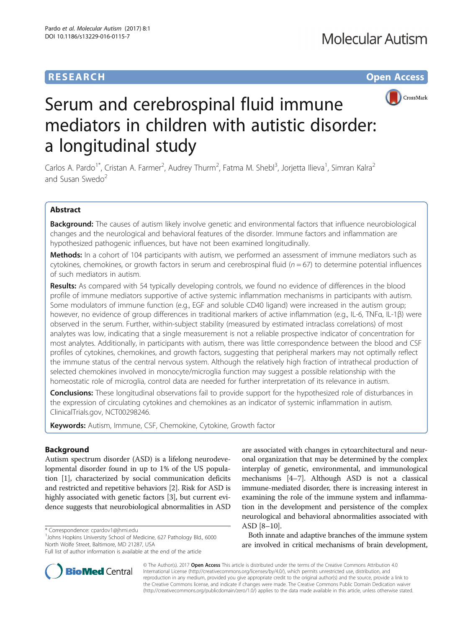## **RESEARCH CHE Open Access**



# Serum and cerebrospinal fluid immune mediators in children with autistic disorder: a longitudinal study

Carlos A. Pardo<sup>1\*</sup>, Cristan A. Farmer<sup>2</sup>, Audrey Thurm<sup>2</sup>, Fatma M. Shebl<sup>3</sup>, Jorjetta Ilieva<sup>1</sup>, Simran Kalra<sup>2</sup> and Susan Swedo<sup>2</sup>

## Abstract

Background: The causes of autism likely involve genetic and environmental factors that influence neurobiological changes and the neurological and behavioral features of the disorder. Immune factors and inflammation are hypothesized pathogenic influences, but have not been examined longitudinally.

Methods: In a cohort of 104 participants with autism, we performed an assessment of immune mediators such as cytokines, chemokines, or growth factors in serum and cerebrospinal fluid  $(n = 67)$  to determine potential influences of such mediators in autism.

**Results:** As compared with 54 typically developing controls, we found no evidence of differences in the blood profile of immune mediators supportive of active systemic inflammation mechanisms in participants with autism. Some modulators of immune function (e.g., EGF and soluble CD40 ligand) were increased in the autism group; however, no evidence of group differences in traditional markers of active inflammation (e.g., IL-6, TNFα, IL-1β) were observed in the serum. Further, within-subject stability (measured by estimated intraclass correlations) of most analytes was low, indicating that a single measurement is not a reliable prospective indicator of concentration for most analytes. Additionally, in participants with autism, there was little correspondence between the blood and CSF profiles of cytokines, chemokines, and growth factors, suggesting that peripheral markers may not optimally reflect the immune status of the central nervous system. Although the relatively high fraction of intrathecal production of selected chemokines involved in monocyte/microglia function may suggest a possible relationship with the homeostatic role of microglia, control data are needed for further interpretation of its relevance in autism.

Conclusions: These longitudinal observations fail to provide support for the hypothesized role of disturbances in the expression of circulating cytokines and chemokines as an indicator of systemic inflammation in autism. ClinicalTrials.gov, NCT00298246.

Keywords: Autism, Immune, CSF, Chemokine, Cytokine, Growth factor

## Background

Autism spectrum disorder (ASD) is a lifelong neurodevelopmental disorder found in up to 1% of the US population [\[1](#page-11-0)], characterized by social communication deficits and restricted and repetitive behaviors [[2\]](#page-11-0). Risk for ASD is highly associated with genetic factors [\[3](#page-11-0)], but current evidence suggests that neurobiological abnormalities in ASD

\* Correspondence: [cpardov1@jhmi.edu](mailto:cpardov1@jhmi.edu) <sup>1</sup>

<sup>1</sup>Johns Hopkins University School of Medicine, 627 Pathology Bld., 6000 North Wolfe Street, Baltimore, MD 21287, USA

are associated with changes in cytoarchitectural and neuronal organization that may be determined by the complex interplay of genetic, environmental, and immunological mechanisms [\[4](#page-11-0)–[7\]](#page-11-0). Although ASD is not a classical immune-mediated disorder, there is increasing interest in examining the role of the immune system and inflammation in the development and persistence of the complex neurological and behavioral abnormalities associated with ASD [\[8](#page-11-0)–[10\]](#page-11-0).

Both innate and adaptive branches of the immune system are involved in critical mechanisms of brain development,



© The Author(s). 2017 **Open Access** This article is distributed under the terms of the Creative Commons Attribution 4.0 International License [\(http://creativecommons.org/licenses/by/4.0/](http://creativecommons.org/licenses/by/4.0/)), which permits unrestricted use, distribution, and reproduction in any medium, provided you give appropriate credit to the original author(s) and the source, provide a link to the Creative Commons license, and indicate if changes were made. The Creative Commons Public Domain Dedication waiver [\(http://creativecommons.org/publicdomain/zero/1.0/](http://creativecommons.org/publicdomain/zero/1.0/)) applies to the data made available in this article, unless otherwise stated.

Full list of author information is available at the end of the article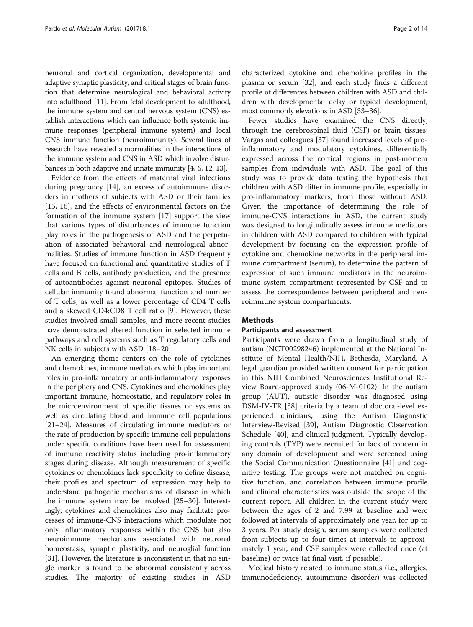neuronal and cortical organization, developmental and adaptive synaptic plasticity, and critical stages of brain function that determine neurological and behavioral activity into adulthood [\[11\]](#page-11-0). From fetal development to adulthood, the immune system and central nervous system (CNS) establish interactions which can influence both systemic immune responses (peripheral immune system) and local CNS immune function (neuroimmunity). Several lines of research have revealed abnormalities in the interactions of the immune system and CNS in ASD which involve disturbances in both adaptive and innate immunity [\[4](#page-11-0), [6](#page-11-0), [12](#page-11-0), [13](#page-11-0)].

Evidence from the effects of maternal viral infections during pregnancy [[14](#page-11-0)], an excess of autoimmune disorders in mothers of subjects with ASD or their families [[15, 16](#page-11-0)], and the effects of environmental factors on the formation of the immune system [[17\]](#page-11-0) support the view that various types of disturbances of immune function play roles in the pathogenesis of ASD and the perpetuation of associated behavioral and neurological abnormalities. Studies of immune function in ASD frequently have focused on functional and quantitative studies of T cells and B cells, antibody production, and the presence of autoantibodies against neuronal epitopes. Studies of cellular immunity found abnormal function and number of T cells, as well as a lower percentage of CD4 T cells and a skewed CD4:CD8 T cell ratio [[9\]](#page-11-0). However, these studies involved small samples, and more recent studies have demonstrated altered function in selected immune pathways and cell systems such as T regulatory cells and NK cells in subjects with ASD [[18](#page-11-0)–[20](#page-11-0)].

An emerging theme centers on the role of cytokines and chemokines, immune mediators which play important roles in pro-inflammatory or anti-inflammatory responses in the periphery and CNS. Cytokines and chemokines play important immune, homeostatic, and regulatory roles in the microenvironment of specific tissues or systems as well as circulating blood and immune cell populations [[21](#page-11-0)–[24\]](#page-11-0). Measures of circulating immune mediators or the rate of production by specific immune cell populations under specific conditions have been used for assessment of immune reactivity status including pro-inflammatory stages during disease. Although measurement of specific cytokines or chemokines lack specificity to define disease, their profiles and spectrum of expression may help to understand pathogenic mechanisms of disease in which the immune system may be involved [\[25](#page-11-0)–[30\]](#page-12-0). Interestingly, cytokines and chemokines also may facilitate processes of immune-CNS interactions which modulate not only inflammatory responses within the CNS but also neuroimmune mechanisms associated with neuronal homeostasis, synaptic plasticity, and neuroglial function [[31](#page-12-0)]. However, the literature is inconsistent in that no single marker is found to be abnormal consistently across studies. The majority of existing studies in ASD characterized cytokine and chemokine profiles in the plasma or serum [[32](#page-12-0)], and each study finds a different profile of differences between children with ASD and children with developmental delay or typical development, most commonly elevations in ASD [[33](#page-12-0)–[36\]](#page-12-0).

Fewer studies have examined the CNS directly, through the cerebrospinal fluid (CSF) or brain tissues; Vargas and colleagues [[37](#page-12-0)] found increased levels of proinflammatory and modulatory cytokines, differentially expressed across the cortical regions in post-mortem samples from individuals with ASD. The goal of this study was to provide data testing the hypothesis that children with ASD differ in immune profile, especially in pro-inflammatory markers, from those without ASD. Given the importance of determining the role of immune-CNS interactions in ASD, the current study was designed to longitudinally assess immune mediators in children with ASD compared to children with typical development by focusing on the expression profile of cytokine and chemokine networks in the peripheral immune compartment (serum), to determine the pattern of expression of such immune mediators in the neuroimmune system compartment represented by CSF and to assess the correspondence between peripheral and neuroimmune system compartments.

## **Methods**

## Participants and assessment

Participants were drawn from a longitudinal study of autism (NCT00298246) implemented at the National Institute of Mental Health/NIH, Bethesda, Maryland. A legal guardian provided written consent for participation in this NIH Combined Neurosciences Institutional Review Board-approved study (06-M-0102). In the autism group (AUT), autistic disorder was diagnosed using DSM-IV-TR [[38](#page-12-0)] criteria by a team of doctoral-level experienced clinicians, using the Autism Diagnostic Interview-Revised [[39\]](#page-12-0), Autism Diagnostic Observation Schedule [\[40](#page-12-0)], and clinical judgment. Typically developing controls (TYP) were recruited for lack of concern in any domain of development and were screened using the Social Communication Questionnaire [[41\]](#page-12-0) and cognitive testing. The groups were not matched on cognitive function, and correlation between immune profile and clinical characteristics was outside the scope of the current report. All children in the current study were between the ages of 2 and 7.99 at baseline and were followed at intervals of approximately one year, for up to 3 years. Per study design, serum samples were collected from subjects up to four times at intervals to approximately 1 year, and CSF samples were collected once (at baseline) or twice (at final visit, if possible).

Medical history related to immune status (i.e., allergies, immunodeficiency, autoimmune disorder) was collected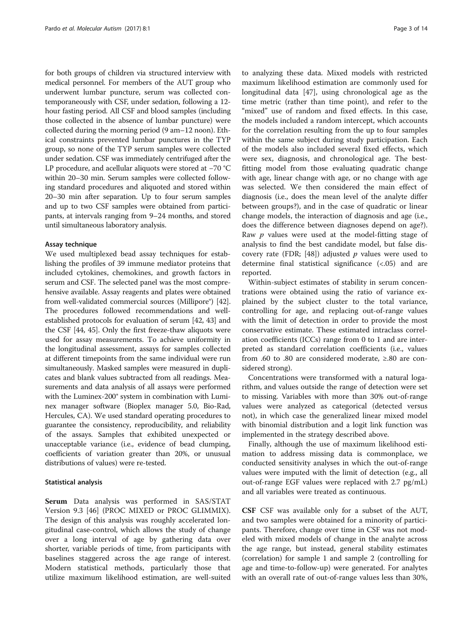for both groups of children via structured interview with medical personnel. For members of the AUT group who underwent lumbar puncture, serum was collected contemporaneously with CSF, under sedation, following a 12 hour fasting period. All CSF and blood samples (including those collected in the absence of lumbar puncture) were collected during the morning period (9 am–12 noon). Ethical constraints prevented lumbar punctures in the TYP group, so none of the TYP serum samples were collected under sedation. CSF was immediately centrifuged after the LP procedure, and acellular aliquots were stored at −70 °C within 20–30 min. Serum samples were collected following standard procedures and aliquoted and stored within 20–30 min after separation. Up to four serum samples and up to two CSF samples were obtained from participants, at intervals ranging from 9–24 months, and stored until simultaneous laboratory analysis.

## Assay technique

We used multiplexed bead assay techniques for establishing the profiles of 39 immune mediator proteins that included cytokines, chemokines, and growth factors in serum and CSF. The selected panel was the most comprehensive available. Assay reagents and plates were obtained from well-validated commercial sources (Millipore®) [[42](#page-12-0)]. The procedures followed recommendations and wellestablished protocols for evaluation of serum [[42, 43](#page-12-0)] and the CSF [[44](#page-12-0), [45](#page-12-0)]. Only the first freeze-thaw aliquots were used for assay measurements. To achieve uniformity in the longitudinal assessment, assays for samples collected at different timepoints from the same individual were run simultaneously. Masked samples were measured in duplicates and blank values subtracted from all readings. Measurements and data analysis of all assays were performed with the Luminex-200® system in combination with Luminex manager software (Bioplex manager 5.0, Bio-Rad, Hercules, CA). We used standard operating procedures to guarantee the consistency, reproducibility, and reliability of the assays. Samples that exhibited unexpected or unacceptable variance (i.e., evidence of bead clumping, coefficients of variation greater than 20%, or unusual distributions of values) were re-tested.

## Statistical analysis

Serum Data analysis was performed in SAS/STAT Version 9.3 [[46\]](#page-12-0) (PROC MIXED or PROC GLIMMIX). The design of this analysis was roughly accelerated longitudinal case-control, which allows the study of change over a long interval of age by gathering data over shorter, variable periods of time, from participants with baselines staggered across the age range of interest. Modern statistical methods, particularly those that utilize maximum likelihood estimation, are well-suited

to analyzing these data. Mixed models with restricted maximum likelihood estimation are commonly used for longitudinal data [[47\]](#page-12-0), using chronological age as the time metric (rather than time point), and refer to the "mixed" use of random and fixed effects. In this case, the models included a random intercept, which accounts for the correlation resulting from the up to four samples within the same subject during study participation. Each of the models also included several fixed effects, which were sex, diagnosis, and chronological age. The bestfitting model from those evaluating quadratic change with age, linear change with age, or no change with age was selected. We then considered the main effect of diagnosis (i.e., does the mean level of the analyte differ between groups?), and in the case of quadratic or linear change models, the interaction of diagnosis and age (i.e., does the difference between diagnoses depend on age?). Raw  $p$  values were used at the model-fitting stage of analysis to find the best candidate model, but false dis-covery rate (FDR; [\[48](#page-12-0)]) adjusted  $p$  values were used to determine final statistical significance (<.05) and are reported.

Within-subject estimates of stability in serum concentrations were obtained using the ratio of variance explained by the subject cluster to the total variance, controlling for age, and replacing out-of-range values with the limit of detection in order to provide the most conservative estimate. These estimated intraclass correlation coefficients (ICCs) range from 0 to 1 and are interpreted as standard correlation coefficients (i.e., values from .60 to .80 are considered moderate, ≥.80 are considered strong).

Concentrations were transformed with a natural logarithm, and values outside the range of detection were set to missing. Variables with more than 30% out-of-range values were analyzed as categorical (detected versus not), in which case the generalized linear mixed model with binomial distribution and a logit link function was implemented in the strategy described above.

Finally, although the use of maximum likelihood estimation to address missing data is commonplace, we conducted sensitivity analyses in which the out-of-range values were imputed with the limit of detection (e.g., all out-of-range EGF values were replaced with 2.7 pg/mL) and all variables were treated as continuous.

CSF CSF was available only for a subset of the AUT, and two samples were obtained for a minority of participants. Therefore, change over time in CSF was not modeled with mixed models of change in the analyte across the age range, but instead, general stability estimates (correlation) for sample 1 and sample 2 (controlling for age and time-to-follow-up) were generated. For analytes with an overall rate of out-of-range values less than 30%,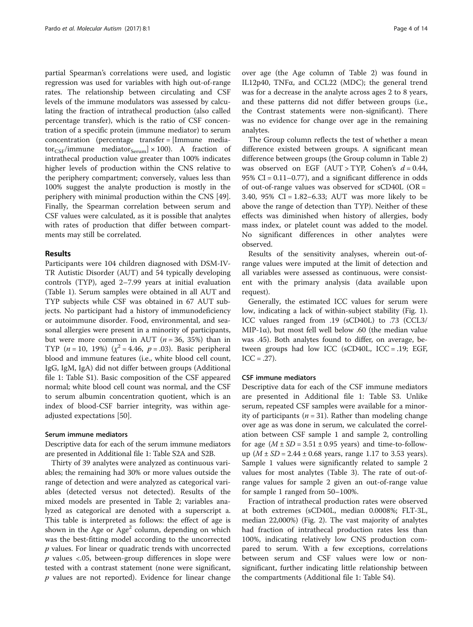partial Spearman's correlations were used, and logistic regression was used for variables with high out-of-range rates. The relationship between circulating and CSF levels of the immune modulators was assessed by calculating the fraction of intrathecal production (also called percentage transfer), which is the ratio of CSF concentration of a specific protein (immune mediator) to serum concentration (percentage transfer = [Immune mediator<sub>CSF</sub>/immune mediator<sub>Serum</sub>]  $\times$  100). A fraction of intrathecal production value greater than 100% indicates higher levels of production within the CNS relative to the periphery compartment; conversely, values less than 100% suggest the analyte production is mostly in the periphery with minimal production within the CNS [\[49](#page-12-0)]. Finally, the Spearman correlation between serum and CSF values were calculated, as it is possible that analytes with rates of production that differ between compartments may still be correlated.

## Results

Participants were 104 children diagnosed with DSM-IV-TR Autistic Disorder (AUT) and 54 typically developing controls (TYP), aged 2–7.99 years at initial evaluation (Table [1\)](#page-4-0). Serum samples were obtained in all AUT and TYP subjects while CSF was obtained in 67 AUT subjects. No participant had a history of immunodeficiency or autoimmune disorder. Food, environmental, and seasonal allergies were present in a minority of participants, but were more common in AUT ( $n = 36$ , 35%) than in TYP  $(n = 10, 19\%)$   $(\chi^2 = 4.46, p = .03)$ . Basic peripheral blood and immune features (i.e., white blood cell count, IgG, IgM, IgA) did not differ between groups (Additional file [1](#page-11-0): Table S1). Basic composition of the CSF appeared normal; white blood cell count was normal, and the CSF to serum albumin concentration quotient, which is an index of blood-CSF barrier integrity, was within ageadjusted expectations [[50](#page-12-0)].

## Serum immune mediators

Descriptive data for each of the serum immune mediators are presented in Additional file [1:](#page-11-0) Table S2A and S2B.

Thirty of 39 analytes were analyzed as continuous variables; the remaining had 30% or more values outside the range of detection and were analyzed as categorical variables (detected versus not detected). Results of the mixed models are presented in Table [2;](#page-5-0) variables analyzed as categorical are denoted with a superscript a. This table is interpreted as follows: the effect of age is shown in the Age or  $Age^2$  column, depending on which was the best-fitting model according to the uncorrected p values. For linear or quadratic trends with uncorrected  $p$  values <.05, between-group differences in slope were tested with a contrast statement (none were significant,  $p$  values are not reported). Evidence for linear change over age (the Age column of Table [2](#page-5-0)) was found in IL12p40, TNFα, and CCL22 (MDC); the general trend was for a decrease in the analyte across ages 2 to 8 years, and these patterns did not differ between groups (i.e., the Contrast statements were non-significant). There was no evidence for change over age in the remaining analytes.

The Group column reflects the test of whether a mean difference existed between groups. A significant mean difference between groups (the Group column in Table [2](#page-5-0)) was observed on EGF (AUT > TYP, Cohen's  $d = 0.44$ , 95% CI =  $0.11-0.77$ ), and a significant difference in odds of out-of-range values was observed for  $sCD40L$  (OR = 3.40, 95% CI = 1.82–6.33; AUT was more likely to be above the range of detection than TYP). Neither of these effects was diminished when history of allergies, body mass index, or platelet count was added to the model. No significant differences in other analytes were observed.

Results of the sensitivity analyses, wherein out-ofrange values were imputed at the limit of detection and all variables were assessed as continuous, were consistent with the primary analysis (data available upon request).

Generally, the estimated ICC values for serum were low, indicating a lack of within-subject stability (Fig. [1](#page-7-0)). ICC values ranged from .19 (sCD40L) to .73 (CCL3/ MIP-1 $\alpha$ ), but most fell well below .60 (the median value was .45). Both analytes found to differ, on average, between groups had low ICC (sCD40L, ICC = .19; EGF,  $ICC = .27)$ .

## CSF immune mediators

Descriptive data for each of the CSF immune mediators are presented in Additional file [1:](#page-11-0) Table S3. Unlike serum, repeated CSF samples were available for a minority of participants ( $n = 31$ ). Rather than modeling change over age as was done in serum, we calculated the correlation between CSF sample 1 and sample 2, controlling for age  $(M \pm SD = 3.51 \pm 0.95$  years) and time-to-followup  $(M \pm SD = 2.44 \pm 0.68$  years, range 1.17 to 3.53 years). Sample 1 values were significantly related to sample 2 values for most analytes (Table [3\)](#page-8-0). The rate of out-ofrange values for sample 2 given an out-of-range value for sample 1 ranged from 50–100%.

Fraction of intrathecal production rates were observed at both extremes (sCD40L, median 0.0008%; FLT-3L, median 22,000%) (Fig. [2](#page-9-0)). The vast majority of analytes had fraction of intrathecal production rates less than 100%, indicating relatively low CNS production compared to serum. With a few exceptions, correlations between serum and CSF values were low or nonsignificant, further indicating little relationship between the compartments (Additional file [1](#page-11-0): Table S4).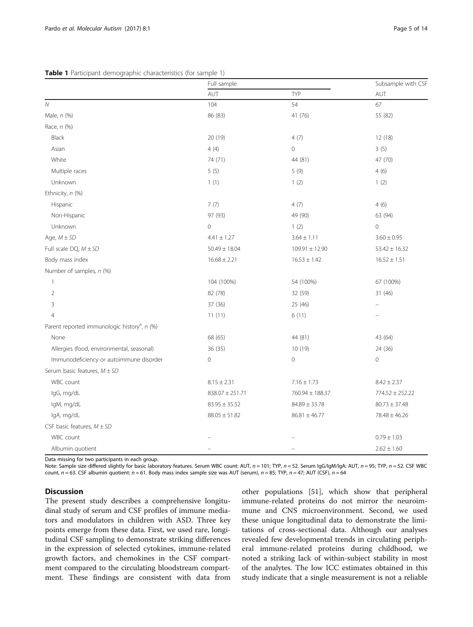## <span id="page-4-0"></span>Table 1 Participant demographic characteristics (for sample 1)

|                                                          | Full sample         |                    | Subsample with CSF  |
|----------------------------------------------------------|---------------------|--------------------|---------------------|
|                                                          | AUT                 | <b>TYP</b>         | AUT                 |
| $\overline{N}$                                           | 104                 | 54                 | 67                  |
| Male, n (%)                                              | 86 (83)             | 41 (76)            | 55 (82)             |
| Race, n (%)                                              |                     |                    |                     |
| Black                                                    | 20 (19)             | 4(7)               | 12 (18)             |
| Asian                                                    | 4(4)                | $\mathbf 0$        | 3(5)                |
| White                                                    | 74 (71)             | 44 (81)            | 47 (70)             |
| Multiple races                                           | 5(5)                | 5(9)               | 4(6)                |
| Unknown                                                  | 1(1)                | 1(2)               | 1(2)                |
| Ethnicity, n (%)                                         |                     |                    |                     |
| Hispanic                                                 | 7(7)                | 4(7)               | 4(6)                |
| Non-Hispanic                                             | 97 (93)             | 49 (90)            | 63 (94)             |
| Unknown                                                  | $\overline{0}$      | 1(2)               | $\overline{0}$      |
| Age, $M \pm SD$                                          | $4.41 \pm 1.27$     | $3.64 \pm 1.11$    | $3.60 \pm 0.95$     |
| Full scale $DQ$ , $M \pm SD$                             | $50.49 \pm 18.04$   | $109.91 \pm 12.90$ | $53.42 \pm 16.32$   |
| Body mass index                                          | $16.68 \pm 2.21$    | $16.53 \pm 1.42$   | $16.52 \pm 1.51$    |
| Number of samples, n (%)                                 |                     |                    |                     |
| $\mathbf{1}$                                             | 104 (100%)          | 54 (100%)          | 67 (100%)           |
| $\mathbf 2$                                              | 82 (78)             | 32 (59)            | 31 (46)             |
| 3                                                        | 37 (36)             | 25 (46)            |                     |
| $\overline{4}$                                           | 11(11)              | 6(11)              |                     |
| Parent reported immunologic history <sup>a</sup> , n (%) |                     |                    |                     |
| None                                                     | 68 (65)             | 44 (81)            | 43 (64)             |
| Allergies (food, environmental, seasonal)                | 36(35)              | 10 (19)            | 24 (36)             |
| Immunodeficiency or autoimmune disorder                  | $\mathsf{O}\xspace$ | $\mathbf 0$        | $\mathbf 0$         |
| Serum basic features, $M \pm SD$                         |                     |                    |                     |
| WBC count                                                | $8.15 \pm 2.31$     | $7.16 \pm 1.73$    | $8.42 \pm 2.37$     |
| IgG, mg/dL                                               | $838.07 \pm 251.71$ | 760.94 ± 188.37    | $774.52 \pm 252.22$ |
| IgM, mg/dL                                               | $83.95 \pm 35.52$   | $84.89 \pm 33.78$  | $80.73 \pm 37.48$   |
| IgA, mg/dL                                               | $88.05 \pm 51.82$   | $86.81 \pm 46.77$  | $78.48 \pm 46.26$   |
| CSF basic features, $M \pm SD$                           |                     |                    |                     |
| WBC count                                                |                     |                    | $0.79 \pm 1.03$     |
| Albumin quotient                                         |                     |                    | $2.62 \pm 1.60$     |

Data missing for two participants in each group.

Note: Sample size differed slightly for basic laboratory features. Serum WBC count: AUT, n = 101; TYP, n = 52. Serum IgG/IgM/IgA: AUT, n = 95; TYP, n = 52. CSF WBC count,  $n = 63$ . CSF albumin quotient:  $n = 61$ . Body mass index sample size was AUT (serum),  $n = 85$ ; TYP,  $n = 47$ ; AUT (CSF),  $n = 64$ 

## **Discussion**

The present study describes a comprehensive longitudinal study of serum and CSF profiles of immune mediators and modulators in children with ASD. Three key points emerge from these data. First, we used rare, longitudinal CSF sampling to demonstrate striking differences in the expression of selected cytokines, immune-related growth factors, and chemokines in the CSF compartment compared to the circulating bloodstream compartment. These findings are consistent with data from

other populations [[51\]](#page-12-0), which show that peripheral immune-related proteins do not mirror the neuroimmune and CNS microenvironment. Second, we used these unique longitudinal data to demonstrate the limitations of cross-sectional data. Although our analyses revealed few developmental trends in circulating peripheral immune-related proteins during childhood, we noted a striking lack of within-subject stability in most of the analytes. The low ICC estimates obtained in this study indicate that a single measurement is not a reliable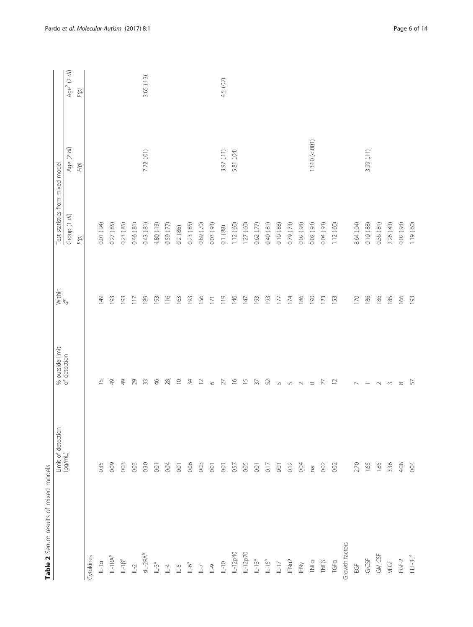<span id="page-5-0"></span>

| Table 2 Serum results of mixed models             |                    |                                 |                  |                                  |                    |                                         |
|---------------------------------------------------|--------------------|---------------------------------|------------------|----------------------------------|--------------------|-----------------------------------------|
|                                                   | Limit of detection | % outside limit<br>of detection | Within<br>$d f$  | Test statistics from mixed model |                    |                                         |
|                                                   | $(100/m)$          |                                 |                  | Group (1 df)<br>F(p)             | Age (2 df)<br>F(p) | Age <sup>2</sup> (2 $df$ )<br>$F(\rho)$ |
| Cytokines                                         |                    |                                 |                  |                                  |                    |                                         |
| $L-1a$                                            | 0.35               | $\frac{5}{1}$                   | 149              | 0.01 (.94)                       |                    |                                         |
| $\mathsf{IL-IRA}^{\mathsf{a}}$                    | 0.09               | $\frac{9}{4}$                   | 193              | 0.27(.85)                        |                    |                                         |
| $\mathbb{L}\text{-}\mathbb{I}\beta^a$             | 0.03               | $\frac{9}{4}$                   | 193              | 0.23(85)                         |                    |                                         |
| $L-2$                                             | 0.03               | 29                              | 117              | 0.46(.81)                        |                    |                                         |
| $SL-2RA^a$                                        | 0.30               | $33$                            | 189              | 0.43(81)                         | 7.72 (.01)         | 3.65 (.13)                              |
| $L-3^a$                                           | 0.01               | 46                              | 193              | 4.80 (.13)                       |                    |                                         |
| $\mathbb{L}$ 4                                    | 0.04               | $28$                            | $\frac{6}{116}$  | 0.59(77)                         |                    |                                         |
| $1 - 5$                                           | 0.01               | $\supseteq$                     | 163              | 0.2(.86)                         |                    |                                         |
| $\mathbb{S}^{S-1}$                                | 0.06               | $\overline{3}4$                 | 193              | 0.23(.85)                        |                    |                                         |
| $\mathbb{L}\text{-}\mathbb{J}$                    | 0.03               | $\supseteq$                     | 156              | 0.89 (.70)                       |                    |                                         |
| $\overline{\mathbb{C}}$ - $\overline{\mathbb{C}}$ | 0.01               | $\circ$                         | $\overline{171}$ | 0.03(93)                         |                    |                                         |
| $0 - 1$                                           | 0.01               | $27\,$                          | 119              | 0.1(88)                          | 3.97 (.11)         | 4.5 (.07)                               |
| IL-12p40                                          | 0.57               | $\frac{\infty}{2}$              | $\frac{146}{5}$  | 1.12(60)                         | 5.81 (.04)         |                                         |
| $1-12p70$                                         | 0.05               | $\overline{\phantom{0}}$        | 147              | 1.27(60)                         |                    |                                         |
| $L-13^a$                                          | 0.01               | $\overline{57}$                 | 193              | 0.62(.77)                        |                    |                                         |
| $L-15^a$                                          | 0.17               | 52                              | 193              | 0.40(81)                         |                    |                                         |
| $\overline{\mathbb{L}}$ -17                       | 0.01               | $\sqrt{2}$                      | 177              | 0.10(0.88)                       |                    |                                         |
| FNa2                                              | 0.12               | $\sqrt{2}$                      | 174              | 0.79(73)                         |                    |                                         |
| $\geqq$                                           | 0.04               | $\sim$                          | 186              | 0.02 (.93)                       |                    |                                         |
| TNFa                                              | na                 | $\circ$                         | 061              | 0.02(93)                         | 13.10 (< 001       |                                         |
| $\mathsf{TNF}\beta$                               | 0.02               | 27                              | 123              | 0.04(93)                         |                    |                                         |
| TGFa                                              | 0.02               | $\overline{c}$                  | 153              | 1.12(60)                         |                    |                                         |
| Growth factors                                    |                    |                                 |                  |                                  |                    |                                         |
| $\underline{\mathbb{G}}$                          | 2.70               | $\overline{ }$                  | 170              | 8.64 (.04)                       |                    |                                         |
| $G-C5F$                                           | 1.65               |                                 | 186              | 0.10(0.88)                       | 3.99 (.11)         |                                         |
| $GM-CSF$                                          | 1.85               | $\sim$                          | 186              | 0.36(81)                         |                    |                                         |
| VEGF                                              | 3.36               | $\sim$                          | 185              | 2.26(43)                         |                    |                                         |
| $FGF-2$                                           | 4.08               | $\infty$                        | 166              | 0.02(93)                         |                    |                                         |
| $FLT-3La$                                         | 0.04               | 57                              | 193              | 1.19 (.60)                       |                    |                                         |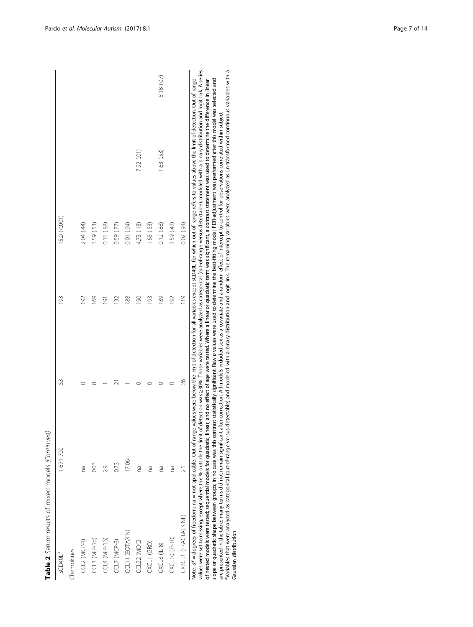| Table 2 Serum results of mixed models (Continued)                |         |        |                    |                                              |            |            |
|------------------------------------------------------------------|---------|--------|--------------------|----------------------------------------------|------------|------------|
| sCD40L <sup>a</sup>                                              | 1671700 | 53     | 193                | $15.0 (= 001)$                               |            |            |
| Chemokines                                                       |         |        |                    |                                              |            |            |
| CCL2 (MCP-1)                                                     | Ρã      |        | $\overline{9}$     | 2.04 (.44)                                   |            |            |
| $CL3 (MP-1a)$                                                    | 0.03    |        | 69                 | 1.59 (.53)                                   |            |            |
| $CCL4$ (MIP-1 $\beta$ )                                          | 2.9     |        | $\overline{191}$   | 0.15(88)                                     |            |            |
| $CL7$ (MCP-3)                                                    | 0.73    |        | $\approx$          | 0.59 (.77)                                   |            |            |
| CCL11 (EOTAXIN)                                                  | 17.06   |        | 188                | 0.01 (.94)                                   |            |            |
| CCL22 (MDC)                                                      | Ρã      |        | $\frac{8}{2}$      | 4.73 (.13)                                   | 7.92 (.01) |            |
| CXCL1 (GRO)                                                      | Ωã      |        | $\frac{93}{2}$     | 1.65 (.53)                                   |            |            |
| $CXCL8$ (IL-8)                                                   | Ρ       |        | 89                 | 0.12(.88)                                    | 1.63 (.53) | 5.18 (.07) |
| CXCL10 (IP-10)                                                   | Γã      |        | $\overline{9}$     | 2.59 (.42)                                   |            |            |
| CX3CL1 (FRACTALKINE)                                             |         | 26     | $\overline{0}$     | 0.02(93)                                     |            |            |
| $\ddot{\cdot}$<br>$\begin{bmatrix} 1 & 1 \\ 1 & 1 \end{bmatrix}$ |         | .<br>. | :<br>ا<br>$\vdots$ | $\ddot{\phantom{0}}$<br>$\ddot{\phantom{0}}$ |            |            |

Note: df = degrees of freedom; na = not applicable. Out-of-range values were below the limit of detection for all variables except sCD40L, for which out-of-range refers to values above the limit of detection. Out-of-range<br> slope or quadratic shape between groups; in no case was this contrast statistically significant. Raw p values were used to determine the best-fitting model; FDR-adjustment was performed after this model was selected and<br>ar values were set to missing, except where the % outside the limit of detection was ≥30%. Those variables were analyzed as categorical (out-of-range versus detectable), modeled with a binary distribution and logit link. A se Variables that were analyzed as categorical (out-of-range versus detectable) and ebinary distribution and logit link. The remaining variables were analyzed as Ln-transformed continuous variables with a of nested models were tested; sequential models for quadratic, linear, and no effect of age were tested. Where a linear or quadratic term was significant, a contrast statement was used to determine the difference in linear slope or quadratic shape between groups; in no case was this contrast statistically significant. Raw p values were used to determine the best-fitting model; FDR-adjustment was performed after this model was selected and Note: df = degrees of freedom; na = not applicable. Out-of-range values were below the limit of detection for all variables except sCD40L, for which out-of-range refers to values above the limit of detection. Out-of-range of nested models were tested; sequential models for quadratic, linear, and no effect of age were tested. Where a linear or quadratic term was significant, a contrast statement was used to determine the difference in linear are presented in the table; many terms did not remain significant after correction. All models included sex as a covariate and a random effect of intercept to control for observations correlated within subject Gaussian distribution Gaussian distribution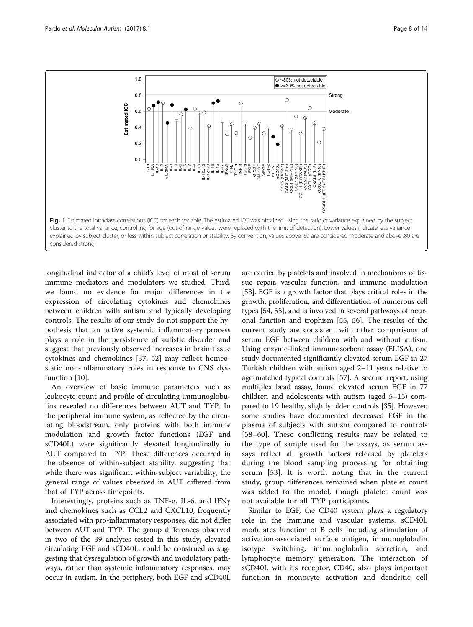<span id="page-7-0"></span>

longitudinal indicator of a child's level of most of serum immune mediators and modulators we studied. Third, we found no evidence for major differences in the expression of circulating cytokines and chemokines between children with autism and typically developing controls. The results of our study do not support the hypothesis that an active systemic inflammatory process plays a role in the persistence of autistic disorder and suggest that previously observed increases in brain tissue cytokines and chemokines [\[37](#page-12-0), [52](#page-12-0)] may reflect homeostatic non-inflammatory roles in response to CNS dysfunction [\[10\]](#page-11-0).

An overview of basic immune parameters such as leukocyte count and profile of circulating immunoglobulins revealed no differences between AUT and TYP. In the peripheral immune system, as reflected by the circulating bloodstream, only proteins with both immune modulation and growth factor functions (EGF and sCD40L) were significantly elevated longitudinally in AUT compared to TYP. These differences occurred in the absence of within-subject stability, suggesting that while there was significant within-subject variability, the general range of values observed in AUT differed from that of TYP across timepoints.

Interestingly, proteins such as TNF-α, IL-6, and IFNγ and chemokines such as CCL2 and CXCL10, frequently associated with pro-inflammatory responses, did not differ between AUT and TYP. The group differences observed in two of the 39 analytes tested in this study, elevated circulating EGF and sCD40L, could be construed as suggesting that dysregulation of growth and modulatory pathways, rather than systemic inflammatory responses, may occur in autism. In the periphery, both EGF and sCD40L

are carried by platelets and involved in mechanisms of tissue repair, vascular function, and immune modulation [[53](#page-12-0)]. EGF is a growth factor that plays critical roles in the growth, proliferation, and differentiation of numerous cell types [\[54, 55](#page-12-0)], and is involved in several pathways of neuronal function and trophism [\[55, 56](#page-12-0)]. The results of the current study are consistent with other comparisons of serum EGF between children with and without autism. Using enzyme-linked immunosorbent assay (ELISA), one study documented significantly elevated serum EGF in 27 Turkish children with autism aged 2–11 years relative to age-matched typical controls [\[57](#page-12-0)]. A second report, using multiplex bead assay, found elevated serum EGF in 77 children and adolescents with autism (aged 5–15) compared to 19 healthy, slightly older, controls [\[35\]](#page-12-0). However, some studies have documented decreased EGF in the plasma of subjects with autism compared to controls [[58](#page-12-0)–[60\]](#page-12-0). These conflicting results may be related to the type of sample used for the assays, as serum assays reflect all growth factors released by platelets during the blood sampling processing for obtaining serum [[53](#page-12-0)]. It is worth noting that in the current study, group differences remained when platelet count was added to the model, though platelet count was not available for all TYP participants.

Similar to EGF, the CD40 system plays a regulatory role in the immune and vascular systems. sCD40L modulates function of B cells including stimulation of activation-associated surface antigen, immunoglobulin isotype switching, immunoglobulin secretion, and lymphocyte memory generation. The interaction of sCD40L with its receptor, CD40, also plays important function in monocyte activation and dendritic cell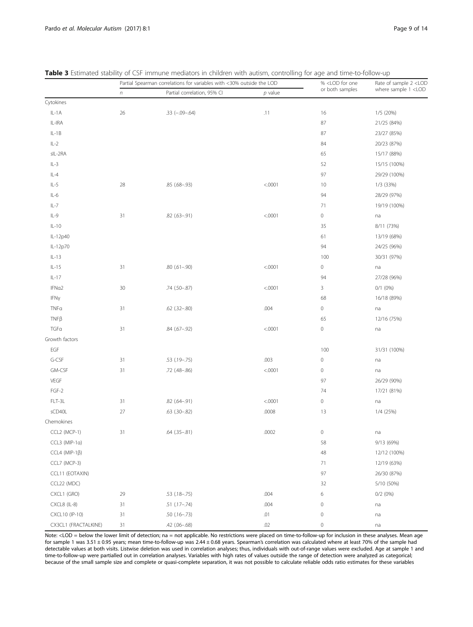|                          | Partial Spearman correlations for variables with <30% outside the LOD |                             |           | % <lod for="" one<="" th=""><th>Rate of sample 2 <lod< th=""></lod<></th></lod> | Rate of sample 2 <lod< th=""></lod<> |
|--------------------------|-----------------------------------------------------------------------|-----------------------------|-----------|---------------------------------------------------------------------------------|--------------------------------------|
|                          | $\boldsymbol{n}$                                                      | Partial correlation, 95% CI | $p$ value | or both samples                                                                 | where sample 1 <lod< th=""></lod<>   |
| Cytokines                |                                                                       |                             |           |                                                                                 |                                      |
| $IL-1A$                  | 26                                                                    | $.33 (-.09 - .64)$          | .11       | 16                                                                              | 1/5 (20%)                            |
| IL-IRA                   |                                                                       |                             |           | 87                                                                              | 21/25 (84%)                          |
| $IL-1B$                  |                                                                       |                             |           | 87                                                                              | 23/27 (85%)                          |
| $IL-2$                   |                                                                       |                             |           | 84                                                                              | 20/23 (87%)                          |
| sIL-2RA                  |                                                                       |                             |           | 65                                                                              | 15/17 (88%)                          |
| $IL-3$                   |                                                                       |                             |           | 52                                                                              | 15/15 (100%)                         |
| $IL-4$                   |                                                                       |                             |           | 97                                                                              | 29/29 (100%)                         |
| $IL-5$                   | 28                                                                    | $.85(.68-.93)$              | < .0001   | 10                                                                              | 1/3 (33%)                            |
| $IL-6$                   |                                                                       |                             |           | 94                                                                              | 28/29 (97%)                          |
| $IL-7$                   |                                                                       |                             |           | 71                                                                              | 19/19 (100%)                         |
| $IL-9$                   | 31                                                                    | $.82$ $(.63 - .91)$         | < .0001   | $\,0\,$                                                                         | na                                   |
| $IL-10$                  |                                                                       |                             |           | 35                                                                              | 8/11 (73%)                           |
| IL-12p40                 |                                                                       |                             |           | 61                                                                              | 13/19 (68%)                          |
| IL-12p70                 |                                                                       |                             |           | 94                                                                              | 24/25 (96%)                          |
| $IL-13$                  |                                                                       |                             |           | 100                                                                             | 30/31 (97%)                          |
| $IL-15$                  | 31                                                                    | $.80(.61-.90)$              | < .0001   | $\,0\,$                                                                         | na                                   |
| $IL-17$                  |                                                                       |                             |           | 94                                                                              | 27/28 (96%)                          |
| IFNa2                    | 30                                                                    | .74 (.50 -. 87)             | < .0001   | $\mathsf 3$                                                                     | $0/1$ $(0%)$                         |
| IFNy                     |                                                                       |                             |           | 68                                                                              | 16/18 (89%)                          |
| TNFa                     | 31                                                                    | $.62$ $(.32 - .80)$         | .004      | $\,0\,$                                                                         | na                                   |
| $TNF\beta$               |                                                                       |                             |           | 65                                                                              | 12/16 (75%)                          |
| TGFa                     | 31                                                                    | .84 (.67 - .92)             | < .0001   | $\,0\,$                                                                         | na                                   |
| Growth factors           |                                                                       |                             |           |                                                                                 |                                      |
| EGF                      |                                                                       |                             |           | 100                                                                             | 31/31 (100%)                         |
| G-CSF                    | 31                                                                    | $.53$ $(.19-.75)$           | .003      | $\,0\,$                                                                         | na                                   |
| GM-CSF                   | 31                                                                    | .72 (.48-.86)               | < .0001   | $\,0\,$                                                                         | na                                   |
| VEGF                     |                                                                       |                             |           | 97                                                                              | 26/29 (90%)                          |
| $FGF-2$                  |                                                                       |                             |           | 74                                                                              | 17/21 (81%)                          |
| FLT-3L                   | 31                                                                    | .82 (.64-.91)               | < .0001   | $\,0\,$                                                                         | na                                   |
| sCD40L                   | 27                                                                    | $.63$ $(.30 - .82)$         | .0008     | 13                                                                              | 1/4 (25%)                            |
| Chemokines               |                                                                       |                             |           |                                                                                 |                                      |
| CCL2 (MCP-1)             | 31                                                                    | $.64$ $(.35 - .81)$         | .0002     | $\mathbb O$                                                                     | na                                   |
| $CCL3$ (MIP-1 $\alpha$ ) |                                                                       |                             |           | 58                                                                              | 9/13 (69%)                           |
| CCL4 (MIP-1 $\beta$ )    |                                                                       |                             |           | 48                                                                              | 12/12 (100%)                         |
| CCL7 (MCP-3)             |                                                                       |                             |           | 71                                                                              | 12/19 (63%)                          |
| CCL11 (EOTAXIN)          |                                                                       |                             |           | 97                                                                              | 26/30 (87%)                          |
| CCL22 (MDC)              |                                                                       |                             |           | 32                                                                              | 5/10 (50%)                           |
| CXCL1 (GRO)              | 29                                                                    | $.53$ (.18 - .75)           | .004      | 6                                                                               | $0/2$ $(0%)$                         |
| CXCL8 (IL-8)             | 31                                                                    | $.51$ $(.17-.74)$           | .004      | $\,0\,$                                                                         | na                                   |
| CXCL10 (IP-10)           | 31                                                                    | $.50(.16 - .73)$            | .01       | $\,0\,$                                                                         | na                                   |
| CX3CL1 (FRACTALKINE)     | 31                                                                    | .42 (.06 - .68)             | .02       | $\mathsf{O}\xspace$                                                             | na                                   |

<span id="page-8-0"></span>Table 3 Estimated stability of CSF immune mediators in children with autism, controlling for age and time-to-follow-up

Note: <LOD = below the lower limit of detection; na = not applicable. No restrictions were placed on time-to-follow-up for inclusion in these analyses. Mean age for sample 1 was 3.51 ± 0.95 years; mean time-to-follow-up was 2.44 ± 0.68 years. Spearman's correlation was calculated where at least 70% of the sample had detectable values at both visits. Listwise deletion was used in correlation analyses; thus, individuals with out-of-range values were excluded. Age at sample 1 and time-to-follow-up were partialled out in correlation analyses. Variables with high rates of values outside the range of detection were analyzed as categorical; because of the small sample size and complete or quasi-complete separation, it was not possible to calculate reliable odds ratio estimates for these variables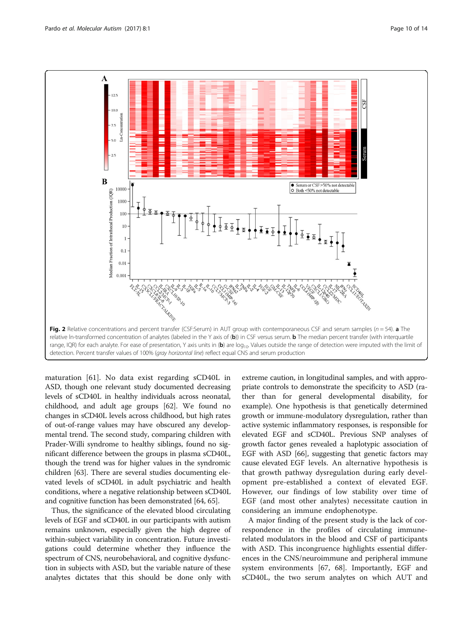<span id="page-9-0"></span> $\mathbf A$  $\overline{12}$ n-Con Ε  $-5.0$  $-2^{t}$  $\bf{B}$ ● Serum or CSF > 50% not detectable<br>○ Both < 50% not detectable 10000 Aedian Fraction of Intrathecal Production (IQR) 1000 100 10  $0.1$  $0.01$  $0.00$ Fig. 2 Relative concentrations and percent transfer (CSF:Serum) in AUT group with contemporaneous CSF and serum samples ( $n = 54$ ). a The relative In-transformed concentration of analytes (labeled in the Y axis of (b)) in CSF versus serum. **b** The median percent transfer (with interquartile range, IQR) for each analyte. For ease of presentation, Y axis units in (b) are  $log_{10}$ . Values outside the range of detection were imputed with the limit of detection. Percent transfer values of 100% (gray horizontal line) reflect equal CNS and serum production

maturation [[61\]](#page-12-0). No data exist regarding sCD40L in ASD, though one relevant study documented decreasing levels of sCD40L in healthy individuals across neonatal, childhood, and adult age groups [[62](#page-12-0)]. We found no changes in sCD40L levels across childhood, but high rates of out-of-range values may have obscured any developmental trend. The second study, comparing children with Prader-Willi syndrome to healthy siblings, found no significant difference between the groups in plasma sCD40L, though the trend was for higher values in the syndromic children [\[63\]](#page-12-0). There are several studies documenting elevated levels of sCD40L in adult psychiatric and health conditions, where a negative relationship between sCD40L and cognitive function has been demonstrated [\[64, 65](#page-12-0)].

Thus, the significance of the elevated blood circulating levels of EGF and sCD40L in our participants with autism remains unknown, especially given the high degree of within-subject variability in concentration. Future investigations could determine whether they influence the spectrum of CNS, neurobehavioral, and cognitive dysfunction in subjects with ASD, but the variable nature of these analytes dictates that this should be done only with

extreme caution, in longitudinal samples, and with appropriate controls to demonstrate the specificity to ASD (rather than for general developmental disability, for example). One hypothesis is that genetically determined growth or immune-modulatory dysregulation, rather than active systemic inflammatory responses, is responsible for elevated EGF and sCD40L. Previous SNP analyses of growth factor genes revealed a haplotypic association of EGF with ASD [\[66\]](#page-12-0), suggesting that genetic factors may cause elevated EGF levels. An alternative hypothesis is that growth pathway dysregulation during early development pre-established a context of elevated EGF. However, our findings of low stability over time of EGF (and most other analytes) necessitate caution in considering an immune endophenotype.

A major finding of the present study is the lack of correspondence in the profiles of circulating immunerelated modulators in the blood and CSF of participants with ASD. This incongruence highlights essential differences in the CNS/neuroimmune and peripheral immune system environments [[67, 68\]](#page-12-0). Importantly, EGF and sCD40L, the two serum analytes on which AUT and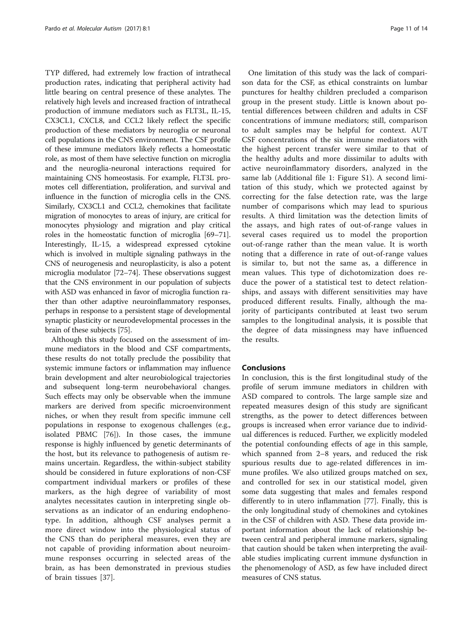TYP differed, had extremely low fraction of intrathecal production rates, indicating that peripheral activity had little bearing on central presence of these analytes. The relatively high levels and increased fraction of intrathecal production of immune mediators such as FLT3L, IL-15, CX3CL1, CXCL8, and CCL2 likely reflect the specific production of these mediators by neuroglia or neuronal cell populations in the CNS environment. The CSF profile of these immune mediators likely reflects a homeostatic role, as most of them have selective function on microglia and the neuroglia-neuronal interactions required for maintaining CNS homeostasis. For example, FLT3L promotes cell differentiation, proliferation, and survival and influence in the function of microglia cells in the CNS. Similarly, CX3CL1 and CCL2, chemokines that facilitate migration of monocytes to areas of injury, are critical for monocytes physiology and migration and play critical roles in the homeostatic function of microglia [\[69](#page-12-0)–[71](#page-12-0)]. Interestingly, IL-15, a widespread expressed cytokine which is involved in multiple signaling pathways in the CNS of neurogenesis and neuroplasticity, is also a potent microglia modulator [\[72](#page-12-0)–[74](#page-12-0)]. These observations suggest that the CNS environment in our population of subjects with ASD was enhanced in favor of microglia function rather than other adaptive neuroinflammatory responses, perhaps in response to a persistent stage of developmental synaptic plasticity or neurodevelopmental processes in the brain of these subjects [\[75](#page-13-0)].

Although this study focused on the assessment of immune mediators in the blood and CSF compartments, these results do not totally preclude the possibility that systemic immune factors or inflammation may influence brain development and alter neurobiological trajectories and subsequent long-term neurobehavioral changes. Such effects may only be observable when the immune markers are derived from specific microenvironment niches, or when they result from specific immune cell populations in response to exogenous challenges (e.g., isolated PBMC [\[76](#page-13-0)]). In those cases, the immune response is highly influenced by genetic determinants of the host, but its relevance to pathogenesis of autism remains uncertain. Regardless, the within-subject stability should be considered in future explorations of non-CSF compartment individual markers or profiles of these markers, as the high degree of variability of most analytes necessitates caution in interpreting single observations as an indicator of an enduring endophenotype. In addition, although CSF analyses permit a more direct window into the physiological status of the CNS than do peripheral measures, even they are not capable of providing information about neuroimmune responses occurring in selected areas of the brain, as has been demonstrated in previous studies of brain tissues [\[37](#page-12-0)].

One limitation of this study was the lack of comparison data for the CSF, as ethical constraints on lumbar punctures for healthy children precluded a comparison group in the present study. Little is known about potential differences between children and adults in CSF concentrations of immune mediators; still, comparison to adult samples may be helpful for context. AUT CSF concentrations of the six immune mediators with the highest percent transfer were similar to that of the healthy adults and more dissimilar to adults with active neuroinflammatory disorders, analyzed in the same lab (Additional file [1:](#page-11-0) Figure S1). A second limitation of this study, which we protected against by correcting for the false detection rate, was the large number of comparisons which may lead to spurious results. A third limitation was the detection limits of the assays, and high rates of out-of-range values in several cases required us to model the proportion out-of-range rather than the mean value. It is worth noting that a difference in rate of out-of-range values is similar to, but not the same as, a difference in mean values. This type of dichotomization does reduce the power of a statistical test to detect relationships, and assays with different sensitivities may have produced different results. Finally, although the majority of participants contributed at least two serum samples to the longitudinal analysis, it is possible that the degree of data missingness may have influenced the results.

## Conclusions

In conclusion, this is the first longitudinal study of the profile of serum immune mediators in children with ASD compared to controls. The large sample size and repeated measures design of this study are significant strengths, as the power to detect differences between groups is increased when error variance due to individual differences is reduced. Further, we explicitly modeled the potential confounding effects of age in this sample, which spanned from 2–8 years, and reduced the risk spurious results due to age-related differences in immune profiles. We also utilized groups matched on sex, and controlled for sex in our statistical model, given some data suggesting that males and females respond differently to in utero inflammation [[77](#page-13-0)]. Finally, this is the only longitudinal study of chemokines and cytokines in the CSF of children with ASD. These data provide important information about the lack of relationship between central and peripheral immune markers, signaling that caution should be taken when interpreting the available studies implicating current immune dysfunction in the phenomenology of ASD, as few have included direct measures of CNS status.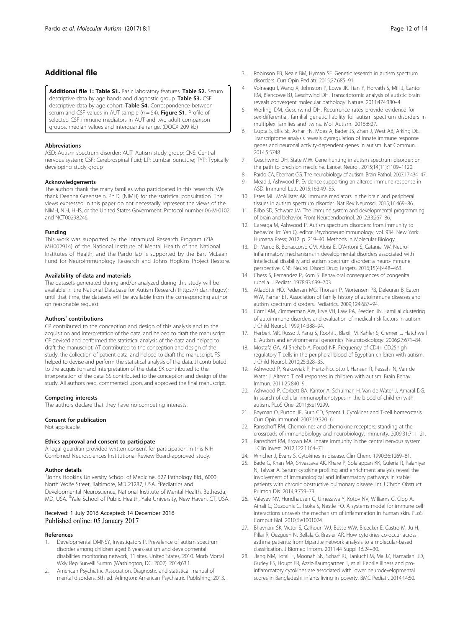## <span id="page-11-0"></span>Additional file

[Additional file 1: Table S1.](dx.doi.org/10.1186/s13229-016-0115-7) Basic laboratory features. Table S2. Serum descriptive data by age bands and diagnostic group. Table S3. CSF descriptive data by age cohort. Table S4. Correspondence between serum and CSF values in AUT sample ( $n = 54$ ). Figure S1. Profile of selected CSF immune mediators in AUT and two adult comparison groups, median values and interquartile range. (DOCX 209 kb)

#### Abbreviations

ASD: Autism spectrum disorder; AUT: Autism study group; CNS: Central nervous system; CSF: Cerebrospinal fluid; LP: Lumbar puncture; TYP: Typically developing study group

#### Acknowledgements

The authors thank the many families who participated in this research. We thank Deanna Greenstein, Ph.D. (NIMH) for the statistical consultation. The views expressed in this paper do not necessarily represent the views of the NIMH, NIH, HHS, or the United States Government. Protocol number 06-M-0102 and NCT00298246.

#### Funding

This work was supported by the Intramural Research Program (ZIA MH002914) of the National Institute of Mental Health of the National Institutes of Health, and the Pardo lab is supported by the Bart McLean Fund for Neuroimmunology Research and Johns Hopkins Project Restore.

## Availability of data and materials

The datasets generated during and/or analyzed during this study will be available in the National Database for Autism Research ([https://ndar.nih.gov\)](https://ndar.nih.gov/); until that time, the datasets will be available from the corresponding author on reasonable request.

#### Authors' contributions

CP contributed to the conception and design of this analysis and to the acquisition and interpretation of the data, and helped to draft the manuscript. CF devised and performed the statistical analysis of the data and helped to draft the manuscript. AT contributed to the conception and design of the study, the collection of patient data, and helped to draft the manuscript. FS helped to devise and perform the statistical analysis of the data. JI contributed to the acquisition and interpretation of the data. SK contributed to the interpretation of the data. SS contributed to the conception and design of the study. All authors read, commented upon, and approved the final manuscript.

#### Competing interests

The authors declare that they have no competing interests.

#### Consent for publication

Not applicable.

#### Ethics approval and consent to participate

A legal guardian provided written consent for participation in this NIH Combined Neurosciences Institutional Review Board-approved study.

#### Author details

<sup>1</sup> Johns Hopkins University School of Medicine, 627 Pathology Bld., 6000 North Wolfe Street, Baltimore, MD 21287, USA. <sup>2</sup>Pediatrics and Developmental Neuroscience, National Institute of Mental Health, Bethesda, MD, USA. <sup>3</sup>Yale School of Public Health, Yale University, New Haven, CT, USA.

## Received: 1 July 2016 Accepted: 14 December 2016 Published online: 05 January 2017

## References

- Developmental DMNSY, Investigators P. Prevalence of autism spectrum disorder among children aged 8 years-autism and developmental disabilities monitoring network, 11 sites, United States, 2010. Morb Mortal Wkly Rep Surveill Summ (Washington, DC: 2002). 2014;63:1.
- 2. American Psychiatric Association. Diagnostic and statistical manual of mental disorders. 5th ed. Arlington: American Psychiatric Publishing; 2013.
- 3. Robinson EB, Neale BM, Hyman SE. Genetic research in autism spectrum disorders. Curr Opin Pediatr. 2015;27:685–91.
- 4. Voineagu I, Wang X, Johnston P, Lowe JK, Tian Y, Horvath S, Mill J, Cantor RM, Blencowe BJ, Geschwind DH. Transcriptomic analysis of autistic brain reveals convergent molecular pathology. Nature. 2011;474:380–4.
- 5. Werling DM, Geschwind DH. Recurrence rates provide evidence for sex-differential, familial genetic liability for autism spectrum disorders in multiplex families and twins. Mol Autism. 2015;6:27.
- 6. Gupta S, Ellis SE, Ashar FN, Moes A, Bader JS, Zhan J, West AB, Arking DE. Transcriptome analysis reveals dysregulation of innate immune response genes and neuronal activity-dependent genes in autism. Nat Commun. 2014;5:5748.
- 7. Geschwind DH, State MW. Gene hunting in autism spectrum disorder: on the path to precision medicine. Lancet Neurol. 2015;14(11):1109–1120.
- 8. Pardo CA, Eberhart CG. The neurobiology of autism. Brain Pathol. 2007;17:434–47.
- Mead J, Ashwood P. Evidence supporting an altered immune response in ASD. Immunol Lett. 2015;163:49–55.
- 10. Estes ML, McAllister AK. Immune mediators in the brain and peripheral tissues in autism spectrum disorder. Nat Rev Neurosci. 2015;16:469–86.
- 11. Bilbo SD, Schwarz JM. The immune system and developmental programming of brain and behavior. Front Neuroendocrinol. 2012;33:267–86.
- 12. Careaga M, Ashwood P. Autism spectrum disorders: from immunity to behavior. In: Yan Q, editor. Psychoneuroimmunology, vol. 934. New York: Humana Press; 2012. p. 219–40. Methods in Molecular Biology.
- 13. Di Marco B, Bonaccorso CM, Aloisi E, D'Antoni S, Catania MV. Neuroinflammatory mechanisms in developmental disorders associated with intellectual disability and autism spectrum disorder: a neuro-immune perspective. CNS Neurol Disord Drug Targets. 2016;15(4):448–463.
- 14. Chess S, Fernandez P, Korn S. Behavioral consequences of congenital rubella. J Pediatr. 1978;93:699–703.
- 15. Atladóttir HÓ, Pedersen MG, Thorsen P, Mortensen PB, Deleuran B, Eaton WW, Parner ET. Association of family history of autoimmune diseases and autism spectrum disorders. Pediatrics. 2009;124:687–94.
- 16. Comi AM, Zimmerman AW, Frye VH, Law PA, Peeden JN. Familial clustering of autoimmune disorders and evaluation of medical risk factors in autism. J Child Neurol. 1999;14:388–94.
- 17. Herbert MR, Russo J, Yang S, Roohi J, Blaxill M, Kahler S, Cremer L, Hatchwell E. Autism and environmental genomics. Neurotoxicology. 2006;27:671–84.
- 18. Mostafa GA, Al Shehab A, Fouad NR. Frequency of CD4+ CD25high regulatory T cells in the peripheral blood of Egyptian children with autism. J Child Neurol. 2010;25:328–35.
- 19. Ashwood P, Krakowiak P, Hertz-Picciotto I, Hansen R, Pessah IN, Van de Water J. Altered T cell responses in children with autism. Brain Behav Immun. 2011;25:840–9.
- 20. Ashwood P, Corbett BA, Kantor A, Schulman H, Van de Water J, Amaral DG. In search of cellular immunophenotypes in the blood of children with autism. PLoS One. 2011;6:e19299.
- 21. Boyman O, Purton JF, Surh CD, Sprent J. Cytokines and T-cell homeostasis. Curr Opin Immunol. 2007;19:320–6.
- 22. Ransohoff RM. Chemokines and chemokine receptors: standing at the crossroads of immunobiology and neurobiology. Immunity. 2009;31:711–21.
- 23. Ransohoff RM, Brown MA. Innate immunity in the central nervous system. J Clin Invest. 2012;122:1164–71.
- 24. Whicher J, Evans S. Cytokines in disease. Clin Chem. 1990;36:1269–81.
- 25. Bade G, Khan MA, Srivastava AK, Khare P, Solaiappan KK, Guleria R, Palaniyar N, Talwar A. Serum cytokine profiling and enrichment analysis reveal the involvement of immunological and inflammatory pathways in stable patients with chronic obstructive pulmonary disease. Int J Chron Obstruct Pulmon Dis. 2014;9:759–73.
- 26. Valeyev NV, Hundhausen C, Umezawa Y, Kotov NV, Williams G, Clop A, Ainali C, Ouzounis C, Tsoka S, Nestle FO. A systems model for immune cell interactions unravels the mechanism of inflammation in human skin. PLoS Comput Biol. 2010;6:e1001024.
- 27. Bhavnani SK, Victor S, Calhoun WJ, Busse WW, Bleecker E, Castro M, Ju H, Pillai R, Oezguen N, Bellala G, Brasier AR. How cytokines co-occur across asthma patients: from bipartite network analysis to a molecular-based classification. J Biomed Inform. 2011;44 Suppl 1:S24–30.
- 28. Jiang NM, Tofail F, Moonah SN, Scharf RJ, Taniuchi M, Ma JZ, Hamadani JD, Gurley ES, Houpt ER, Azziz-Baumgartner E, et al. Febrile illness and proinflammatory cytokines are associated with lower neurodevelopmental scores in Bangladeshi infants living in poverty. BMC Pediatr. 2014;14:50.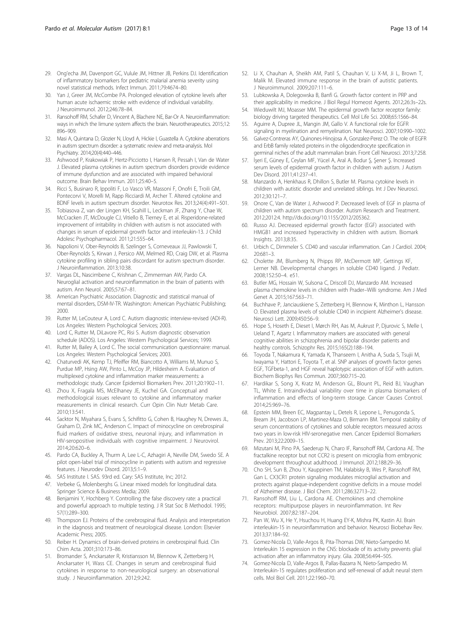- <span id="page-12-0"></span>29. Ong'echa JM, Davenport GC, Vulule JM, Hittner JB, Perkins DJ. Identification of inflammatory biomarkers for pediatric malarial anemia severity using novel statistical methods. Infect Immun. 2011;79:4674–80.
- 30. Yan J, Greer JM, McCombe PA. Prolonged elevation of cytokine levels after human acute ischaemic stroke with evidence of individual variability. J Neuroimmunol. 2012;246:78–84.
- 31. Ransohoff RM, Schafer D, Vincent A, Blachere NE, Bar-Or A. Neuroinflammation: ways in which the Iimune system affects the brain. Neurotherapeutics. 2015;12: 896–909.
- 32. Masi A, Quintana D, Glozier N, Lloyd A, Hickie I, Guastella A. Cytokine aberrations in autism spectrum disorder: a systematic review and meta-analysis. Mol Psychiatry. 2014;20(4):440–446.
- 33. Ashwood P, Krakowiak P, Hertz-Picciotto I, Hansen R, Pessah I, Van de Water J. Elevated plasma cytokines in autism spectrum disorders provide evidence of immune dysfunction and are associated with impaired behavioral outcome. Brain Behav Immun. 2011;25:40–5.
- 34. Ricci S, Businaro R, Ippoliti F, Lo Vasco VR, Massoni F, Onofri E, Troili GM, Pontecorvi V, Morelli M, Rapp Ricciardi M, Archer T. Altered cytokine and BDNF levels in autism spectrum disorder. Neurotox Res. 2013;24(4):491–501.
- 35. Tobiasova Z, van der Lingen KH, Scahill L, Leckman JF, Zhang Y, Chae W, McCracken JT, McDougle CJ, Vitiello B, Tierney E, et al. Risperidone-related improvement of irritability in children with autism is not associated with changes in serum of epidermal growth factor and interleukin-13. J Child Adolesc Psychopharmacol. 2011;21:555–64.
- 36. Napolioni V, Ober-Reynolds B, Szelinger S, Corneveaux JJ, Pawlowski T, Ober-Reynolds S, Kirwan J, Persico AM, Melmed RD, Craig DW, et al. Plasma cytokine profiling in sibling pairs discordant for autism spectrum disorder. J Neuroinflammation. 2013;10:38.
- 37. Vargas DL, Nascimbene C, Krishnan C, Zimmerman AW, Pardo CA. Neuroglial activation and neuroinflammation in the brain of patients with autism. Ann Neurol. 2005;57:67–81.
- 38. American Psychiatric Association. Diagnostic and statistical manual of mental disorders, DSM-IV-TR. Washington: American Psychiatric Publishing; 2000.
- 39. Rutter M, LeCouteur A, Lord C. Autism diagnostic interview-revised (ADI-R). Los Angeles: Western Psychological Services; 2003.
- 40. Lord C, Rutter M, DiLavore PC, Risi S. Autism diagnostic observation schedule (ADOS). Los Angeles: Western Psychological Services; 1999.
- 41. Rutter M, Bailey A, Lord C. The social communication questionnaire: manual. Los Angeles: Western Psychological Services; 2003.
- 42. Chaturvedi AK, Kemp TJ, Pfeiffer RM, Biancotto A, Williams M, Munuo S, Purdue MP, Hsing AW, Pinto L, McCoy JP, Hildesheim A. Evaluation of multiplexed cytokine and inflammation marker measurements: a methodologic study. Cancer Epidemiol Biomarkers Prev. 2011;20:1902–11.
- 43. Zhou X, Fragala MS, McElhaney JE, Kuchel GA. Conceptual and methodological issues relevant to cytokine and inflammatory marker measurements in clinical research. Curr Opin Clin Nutr Metab Care. 2010;13:541.
- 44. Sacktor N, Miyahara S, Evans S, Schifitto G, Cohen B, Haughey N, Drewes JL, Graham D, Zink MC, Anderson C. Impact of minocycline on cerebrospinal fluid markers of oxidative stress, neuronal injury, and inflammation in HIV-seropositive individuals with cognitive impairment. J Neurovirol. 2014;20:620–6.
- 45. Pardo CA, Buckley A, Thurm A, Lee L-C, Azhagiri A, Neville DM, Swedo SE. A pilot open-label trial of minocycline in patients with autism and regressive features. J Neurodev Disord. 2013;5:1–9.
- 46. SAS Institute I. SAS. 93rd ed. Cary: SAS Institute, Inc; 2012.
- 47. Verbeke G, Molenberghs G. Linear mixed models for longitudinal data. Springer Science & Business Media; 2009.
- 48. Benjamini Y, Hochberg Y. Controlling the false discovery rate: a practical and powerful approach to multiple testing. J R Stat Soc B Methodol. 1995; 57(1):289–300.
- 49. Thompson EJ. Proteins of the cerebrospinal fluid. Analysis and interpretation in the idagnosis and treatment of neurological disease. London: Elsevier Academic Press; 2005.
- 50. Reiber H. Dynamics of brain-derived proteins in cerebrospinal fluid. Clin Chim Acta. 2001;310:173–86.
- 51. Bromander S, Anckarsater R, Kristiansson M, Blennow K, Zetterberg H, Anckarsater H, Wass CE. Changes in serum and cerebrospinal fluid cytokines in response to non-neurological surgery: an observational study. J Neuroinflammation. 2012;9:242.
- 52. Li X, Chauhan A, Sheikh AM, Patil S, Chauhan V, Li X-M, Ji L, Brown T, Malik M. Elevated immune response in the brain of autistic patients. J Neuroimmunol. 2009;207:111–6.
- 53. Lubkowska A, Dolegowska B, Banfi G. Growth factor content in PRP and their applicability in medicine. J Biol Regul Homeost Agents. 2012;26:3s–22s.
- 54. Wieduwilt MJ, Moasser MM. The epidermal growth factor receptor family: biology driving targeted therapeutics. Cell Mol Life Sci. 2008;65:1566–84.
- 55. Aguirre A, Dupree JL, Mangin JM, Gallo V. A functional role for EGFR signaling in myelination and remyelination. Nat Neurosci. 2007;10:990–1002.
- 56. Galvez-Contreras AY, Quinones-Hinojosa A, Gonzalez-Perez O. The role of EGFR and ErbB family related proteins in the oligodendrocyte specification in germinal niches of the adult mammalian brain. Front Cell Neurosci. 2013;7:258.
- 57. İşeri E, Güney E, Ceylan MF, Yücel A, Aral A, Bodur Ş, Şener Ş. Increased serum levels of epidermal growth factor in children with autism. J Autism Dev Disord. 2011;41:237–41.
- 58. Manzardo A, Henkhaus R, Dhillon S, Butler M. Plasma cytokine levels in children with autistic disorder and unrelated siblings. Int J Dev Neurosci. 2012;30:121–7.
- 59. Onore C, Van de Water J, Ashwood P. Decreased levels of EGF in plasma of children with autism spectrum disorder. Autism Research and Treatment. 2012;2012:4.<http://dx.doi.org/10.1155/2012/205362>.
- Russo AJ. Decreased epidermal growth factor (EGF) associated with HMGB1 and increased hyperactivity in children with autism. Biomark Insights. 2013;8:35.
- 61. Urbich C, Dimmeler S. CD40 and vascular inflammation. Can J Cardiol. 2004; 20:681–3.
- 62. Cholette JM, Blumberg N, Phipps RP, McDermott MP, Gettings KF, Lerner NB. Developmental changes in soluble CD40 ligand. J Pediatr. 2008;152:50–4. e51.
- 63. Butler MG, Hossain W, Sulsona C, Driscoll DJ, Manzardo AM. Increased plasma chemokine levels in children with Prader–Willi syndrome. Am J Med Genet A. 2015;167:563–71.
- 64. Buchhave P, Janciauskiene S, Zetterberg H, Blennow K, Minthon L, Hansson O. Elevated plasma levels of soluble CD40 in incipient Alzheimer's disease. Neurosci Lett. 2009;450:56–9.
- 65. Hope S, Hoseth E, Dieset I, Mørch RH, Aas M, Aukrust P, Djurovic S, Melle I, Ueland T, Agartz I. Inflammatory markers are associated with general cognitive abilities in schizophrenia and bipolar disorder patients and healthy controls. Schizophr Res. 2015;165(2):188–194.
- 66. Toyoda T, Nakamura K, Yamada K, Thanseem I, Anitha A, Suda S, Tsujii M, Iwayama Y, Hattori E, Toyota T, et al. SNP analyses of growth factor genes EGF, TGFbeta-1, and HGF reveal haplotypic association of EGF with autism. Biochem Biophys Res Commun. 2007;360:715–20.
- 67. Hardikar S, Song X, Kratz M, Anderson GL, Blount PL, Reid BJ, Vaughan TL, White E. Intraindividual variability over time in plasma biomarkers of inflammation and effects of long-term storage. Cancer Causes Control. 2014;25:969–76.
- 68. Epstein MM, Breen EC, Magpantay L, Detels R, Lepone L, Penugonda S, Bream JH, Jacobson LP, Martinez-Maza O, Birmann BM. Temporal stability of serum concentrations of cytokines and soluble receptors measured across two years in low-risk HIV-seronegative men. Cancer Epidemiol Biomarkers Prev. 2013;22:2009–15.
- 69. Mizutani M, Pino PA, Saederup N, Charo IF, Ransohoff RM, Cardona AE. The fractalkine receptor but not CCR2 is present on microglia from embryonic development throughout adulthood. J Immunol. 2012;188:29–36.
- 70. Cho SH, Sun B, Zhou Y, Kauppinen TM, Halabisky B, Wes P, Ransohoff RM, Gan L. CX3CR1 protein signaling modulates microglial activation and protects against plaque-independent cognitive deficits in a mouse model of Alzheimer disease. J Biol Chem. 2011;286:32713–22.
- 71. Ransohoff RM, Liu L, Cardona AE. Chemokines and chemokine receptors: multipurpose players in neuroinflammation. Int Rev Neurobiol. 2007;82:187–204.
- 72. Pan W, Wu X, He Y, Hsuchou H, Huang EY-K, Mishra PK, Kastin AJ. Brain interleukin-15 in neuroinflammation and behavior. Neurosci Biobehav Rev. 2013;37:184–92.
- 73. Gomez-Nicola D, Valle-Argos B, Pita-Thomas DW, Nieto-Sampedro M. Interleukin 15 expression in the CNS: blockade of its activity prevents glial activation after an inflammatory injury. Glia. 2008;56:494–505.
- 74. Gomez-Nicola D, Valle-Argos B, Pallas-Bazarra N, Nieto-Sampedro M. Interleukin-15 regulates proliferation and self-renewal of adult neural stem cells. Mol Biol Cell. 2011;22:1960–70.